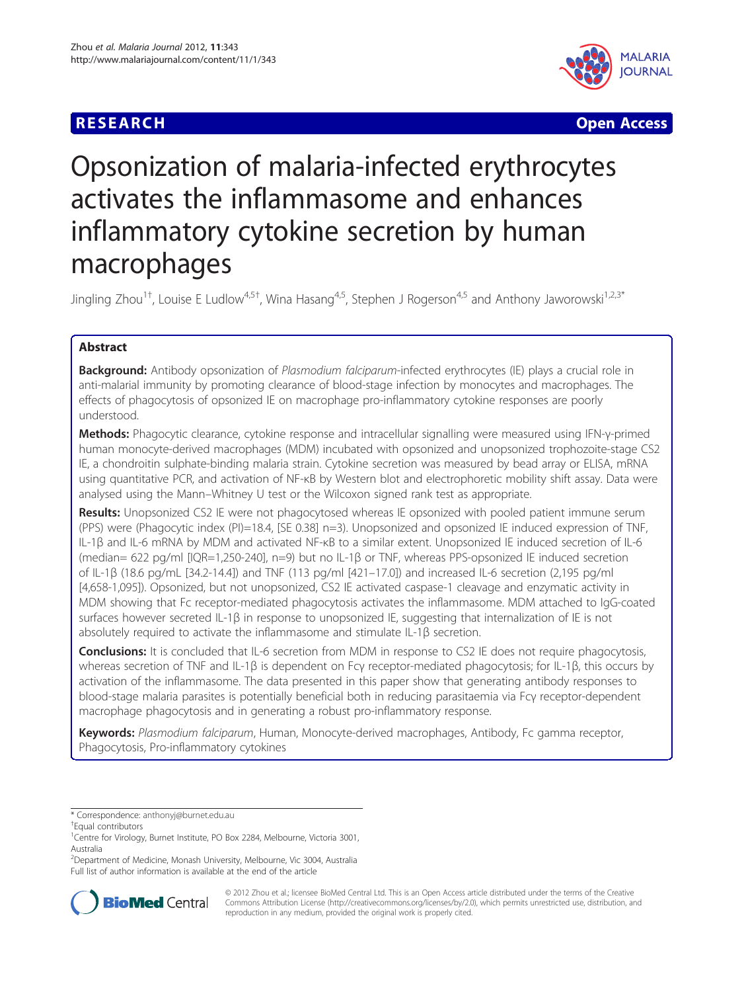



# Opsonization of malaria-infected erythrocytes activates the inflammasome and enhances inflammatory cytokine secretion by human macrophages

Jingling Zhou<sup>1†</sup>, Louise E Ludlow<sup>4,5†</sup>, Wina Hasang<sup>4,5</sup>, Stephen J Rogerson<sup>4,5</sup> and Anthony Jaworowski<sup>1,2,3\*</sup>

# Abstract

**Background:** Antibody opsonization of Plasmodium falciparum-infected erythrocytes (IE) plays a crucial role in anti-malarial immunity by promoting clearance of blood-stage infection by monocytes and macrophages. The effects of phagocytosis of opsonized IE on macrophage pro-inflammatory cytokine responses are poorly understood.

Methods: Phagocytic clearance, cytokine response and intracellular signalling were measured using IFN-γ-primed human monocyte-derived macrophages (MDM) incubated with opsonized and unopsonized trophozoite-stage CS2 IE, a chondroitin sulphate-binding malaria strain. Cytokine secretion was measured by bead array or ELISA, mRNA using quantitative PCR, and activation of NF-κB by Western blot and electrophoretic mobility shift assay. Data were analysed using the Mann–Whitney U test or the Wilcoxon signed rank test as appropriate.

Results: Unopsonized CS2 IE were not phagocytosed whereas IE opsonized with pooled patient immune serum (PPS) were (Phagocytic index (PI)=18.4, [SE 0.38] n=3). Unopsonized and opsonized IE induced expression of TNF, IL-1β and IL-6 mRNA by MDM and activated NF-κB to a similar extent. Unopsonized IE induced secretion of IL-6 (median= 622 pg/ml [IQR=1,250-240], n=9) but no IL-1β or TNF, whereas PPS-opsonized IE induced secretion of IL-1β (18.6 pg/mL [34.2-14.4]) and TNF (113 pg/ml [421–17.0]) and increased IL-6 secretion (2,195 pg/ml [4,658-1,095]). Opsonized, but not unopsonized, CS2 IE activated caspase-1 cleavage and enzymatic activity in MDM showing that Fc receptor-mediated phagocytosis activates the inflammasome. MDM attached to IgG-coated surfaces however secreted IL-1β in response to unopsonized IE, suggesting that internalization of IE is not absolutely required to activate the inflammasome and stimulate IL-1β secretion.

**Conclusions:** It is concluded that IL-6 secretion from MDM in response to CS2 IE does not require phagocytosis, whereas secretion of TNF and IL-1β is dependent on Fcγ receptor-mediated phagocytosis; for IL-1β, this occurs by activation of the inflammasome. The data presented in this paper show that generating antibody responses to blood-stage malaria parasites is potentially beneficial both in reducing parasitaemia via Fcγ receptor-dependent macrophage phagocytosis and in generating a robust pro-inflammatory response.

Keywords: Plasmodium falciparum, Human, Monocyte-derived macrophages, Antibody, Fc gamma receptor, Phagocytosis, Pro-inflammatory cytokines

Equal contributors

2 Department of Medicine, Monash University, Melbourne, Vic 3004, Australia Full list of author information is available at the end of the article



© 2012 Zhou et al.; licensee BioMed Central Ltd. This is an Open Access article distributed under the terms of the Creative Commons Attribution License [\(http://creativecommons.org/licenses/by/2.0\)](http://creativecommons.org/licenses/by/2.0), which permits unrestricted use, distribution, and reproduction in any medium, provided the original work is properly cited.

<sup>\*</sup> Correspondence: [anthonyj@burnet.edu.au](mailto:anthonyj@burnet.edu.au) †

<sup>&</sup>lt;sup>1</sup>Centre for Virology, Burnet Institute, PO Box 2284, Melbourne, Victoria 3001, Australia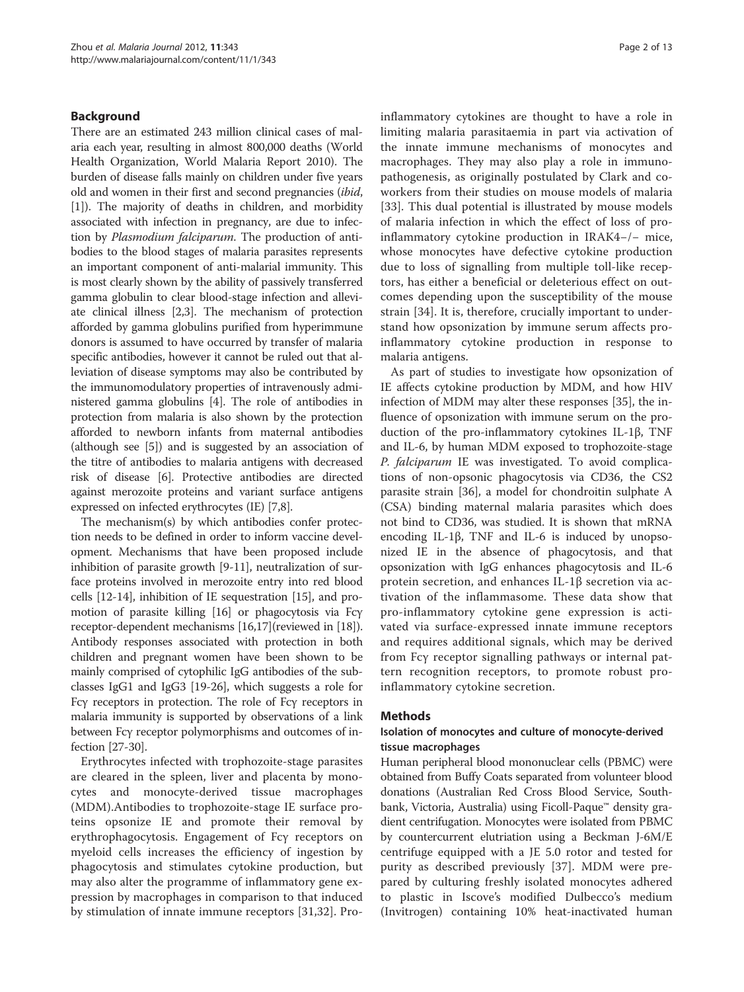#### Background

There are an estimated 243 million clinical cases of malaria each year, resulting in almost 800,000 deaths (World Health Organization, World Malaria Report 2010). The burden of disease falls mainly on children under five years old and women in their first and second pregnancies (ibid, [[1\]](#page-10-0)). The majority of deaths in children, and morbidity associated with infection in pregnancy, are due to infection by Plasmodium falciparum. The production of antibodies to the blood stages of malaria parasites represents an important component of anti-malarial immunity. This is most clearly shown by the ability of passively transferred gamma globulin to clear blood-stage infection and alleviate clinical illness [[2,3](#page-10-0)]. The mechanism of protection afforded by gamma globulins purified from hyperimmune donors is assumed to have occurred by transfer of malaria specific antibodies, however it cannot be ruled out that alleviation of disease symptoms may also be contributed by the immunomodulatory properties of intravenously administered gamma globulins [[4](#page-10-0)]. The role of antibodies in protection from malaria is also shown by the protection afforded to newborn infants from maternal antibodies (although see [\[5\]](#page-10-0)) and is suggested by an association of the titre of antibodies to malaria antigens with decreased risk of disease [\[6](#page-11-0)]. Protective antibodies are directed against merozoite proteins and variant surface antigens expressed on infected erythrocytes (IE) [[7](#page-11-0),[8](#page-11-0)].

The mechanism(s) by which antibodies confer protection needs to be defined in order to inform vaccine development. Mechanisms that have been proposed include inhibition of parasite growth [[9-11\]](#page-11-0), neutralization of surface proteins involved in merozoite entry into red blood cells [\[12](#page-11-0)-[14](#page-11-0)], inhibition of IE sequestration [[15\]](#page-11-0), and promotion of parasite killing [[16](#page-11-0)] or phagocytosis via Fcγ receptor-dependent mechanisms [\[16,17\]](#page-11-0)(reviewed in [[18](#page-11-0)]). Antibody responses associated with protection in both children and pregnant women have been shown to be mainly comprised of cytophilic IgG antibodies of the subclasses IgG1 and IgG3 [[19](#page-11-0)-[26](#page-11-0)], which suggests a role for Fcγ receptors in protection. The role of Fcγ receptors in malaria immunity is supported by observations of a link between Fcγ receptor polymorphisms and outcomes of infection [[27-30\]](#page-11-0).

Erythrocytes infected with trophozoite-stage parasites are cleared in the spleen, liver and placenta by monocytes and monocyte-derived tissue macrophages (MDM).Antibodies to trophozoite-stage IE surface proteins opsonize IE and promote their removal by erythrophagocytosis. Engagement of Fcγ receptors on myeloid cells increases the efficiency of ingestion by phagocytosis and stimulates cytokine production, but may also alter the programme of inflammatory gene expression by macrophages in comparison to that induced by stimulation of innate immune receptors [[31,32\]](#page-11-0). Proinflammatory cytokines are thought to have a role in limiting malaria parasitaemia in part via activation of the innate immune mechanisms of monocytes and macrophages. They may also play a role in immunopathogenesis, as originally postulated by Clark and coworkers from their studies on mouse models of malaria [[33](#page-11-0)]. This dual potential is illustrated by mouse models of malaria infection in which the effect of loss of proinflammatory cytokine production in IRAK4−/− mice, whose monocytes have defective cytokine production due to loss of signalling from multiple toll-like receptors, has either a beneficial or deleterious effect on outcomes depending upon the susceptibility of the mouse strain [\[34](#page-11-0)]. It is, therefore, crucially important to understand how opsonization by immune serum affects proinflammatory cytokine production in response to malaria antigens.

As part of studies to investigate how opsonization of IE affects cytokine production by MDM, and how HIV infection of MDM may alter these responses [\[35](#page-11-0)], the influence of opsonization with immune serum on the production of the pro-inflammatory cytokines IL-1β, TNF and IL-6, by human MDM exposed to trophozoite-stage P. falciparum IE was investigated. To avoid complications of non-opsonic phagocytosis via CD36, the CS2 parasite strain [\[36\]](#page-11-0), a model for chondroitin sulphate A (CSA) binding maternal malaria parasites which does not bind to CD36, was studied. It is shown that mRNA encoding IL-1β, TNF and IL-6 is induced by unopsonized IE in the absence of phagocytosis, and that opsonization with IgG enhances phagocytosis and IL-6 protein secretion, and enhances IL-1β secretion via activation of the inflammasome. These data show that pro-inflammatory cytokine gene expression is activated via surface-expressed innate immune receptors and requires additional signals, which may be derived from Fcγ receptor signalling pathways or internal pattern recognition receptors, to promote robust proinflammatory cytokine secretion.

#### Methods

## Isolation of monocytes and culture of monocyte-derived tissue macrophages

Human peripheral blood mononuclear cells (PBMC) were obtained from Buffy Coats separated from volunteer blood donations (Australian Red Cross Blood Service, Southbank, Victoria, Australia) using Ficoll-Paque™ density gradient centrifugation. Monocytes were isolated from PBMC by countercurrent elutriation using a Beckman J-6M/E centrifuge equipped with a JE 5.0 rotor and tested for purity as described previously [[37\]](#page-11-0). MDM were prepared by culturing freshly isolated monocytes adhered to plastic in Iscove's modified Dulbecco's medium (Invitrogen) containing 10% heat-inactivated human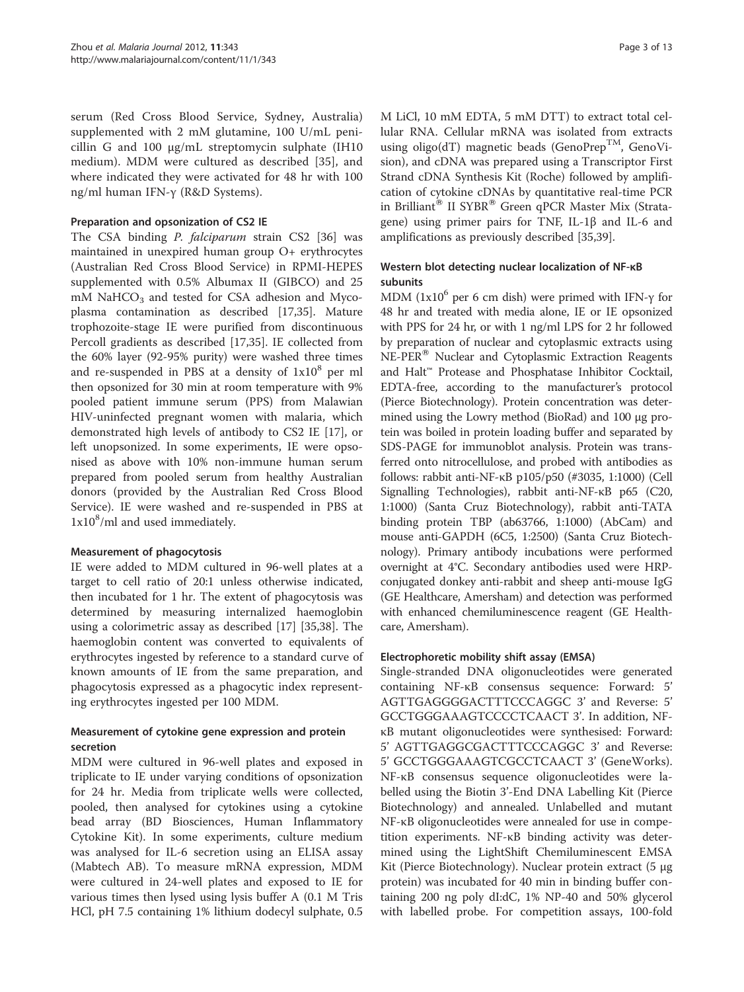serum (Red Cross Blood Service, Sydney, Australia) supplemented with 2 mM glutamine, 100 U/mL penicillin G and 100 μg/mL streptomycin sulphate (IH10 medium). MDM were cultured as described [\[35](#page-11-0)], and where indicated they were activated for 48 hr with 100 ng/ml human IFN-γ (R&D Systems).

## Preparation and opsonization of CS2 IE

The CSA binding P. falciparum strain CS2 [[36\]](#page-11-0) was maintained in unexpired human group O+ erythrocytes (Australian Red Cross Blood Service) in RPMI-HEPES supplemented with 0.5% Albumax II (GIBCO) and 25  $m$ M NaHCO<sub>3</sub> and tested for CSA adhesion and Mycoplasma contamination as described [[17,35](#page-11-0)]. Mature trophozoite-stage IE were purified from discontinuous Percoll gradients as described [\[17,35](#page-11-0)]. IE collected from the 60% layer (92-95% purity) were washed three times and re-suspended in PBS at a density of  $1x10<sup>8</sup>$  per ml then opsonized for 30 min at room temperature with 9% pooled patient immune serum (PPS) from Malawian HIV-uninfected pregnant women with malaria, which demonstrated high levels of antibody to CS2 IE [[17\]](#page-11-0), or left unopsonized. In some experiments, IE were opsonised as above with 10% non-immune human serum prepared from pooled serum from healthy Australian donors (provided by the Australian Red Cross Blood Service). IE were washed and re-suspended in PBS at  $1x10<sup>8</sup>/ml$  and used immediately.

## Measurement of phagocytosis

IE were added to MDM cultured in 96-well plates at a target to cell ratio of 20:1 unless otherwise indicated, then incubated for 1 hr. The extent of phagocytosis was determined by measuring internalized haemoglobin using a colorimetric assay as described [\[17](#page-11-0)] [[35,38\]](#page-11-0). The haemoglobin content was converted to equivalents of erythrocytes ingested by reference to a standard curve of known amounts of IE from the same preparation, and phagocytosis expressed as a phagocytic index representing erythrocytes ingested per 100 MDM.

# Measurement of cytokine gene expression and protein secretion

MDM were cultured in 96-well plates and exposed in triplicate to IE under varying conditions of opsonization for 24 hr. Media from triplicate wells were collected, pooled, then analysed for cytokines using a cytokine bead array (BD Biosciences, Human Inflammatory Cytokine Kit). In some experiments, culture medium was analysed for IL-6 secretion using an ELISA assay (Mabtech AB). To measure mRNA expression, MDM were cultured in 24-well plates and exposed to IE for various times then lysed using lysis buffer A (0.1 M Tris HCl, pH 7.5 containing 1% lithium dodecyl sulphate, 0.5 M LiCl, 10 mM EDTA, 5 mM DTT) to extract total cellular RNA. Cellular mRNA was isolated from extracts using oligo(dT) magnetic beads (GenoPrep<sup>TM</sup>, GenoVision), and cDNA was prepared using a Transcriptor First Strand cDNA Synthesis Kit (Roche) followed by amplification of cytokine cDNAs by quantitative real-time PCR in Brilliant<sup>®</sup> II SYBR<sup>®</sup> Green qPCR Master Mix (Stratagene) using primer pairs for TNF, IL-1β and IL-6 and amplifications as previously described [\[35,39](#page-11-0)].

# Western blot detecting nuclear localization of NF-κB subunits

MDM  $(1x10^6$  per 6 cm dish) were primed with IFN- $\gamma$  for 48 hr and treated with media alone, IE or IE opsonized with PPS for 24 hr, or with 1 ng/ml LPS for 2 hr followed by preparation of nuclear and cytoplasmic extracts using NE-PER<sup>®</sup> Nuclear and Cytoplasmic Extraction Reagents and Halt™ Protease and Phosphatase Inhibitor Cocktail, EDTA-free, according to the manufacturer's protocol (Pierce Biotechnology). Protein concentration was determined using the Lowry method (BioRad) and 100 μg protein was boiled in protein loading buffer and separated by SDS-PAGE for immunoblot analysis. Protein was transferred onto nitrocellulose, and probed with antibodies as follows: rabbit anti-NF-κB p105/p50 (#3035, 1:1000) (Cell Signalling Technologies), rabbit anti-NF-κB p65 (C20, 1:1000) (Santa Cruz Biotechnology), rabbit anti-TATA binding protein TBP (ab63766, 1:1000) (AbCam) and mouse anti-GAPDH (6C5, 1:2500) (Santa Cruz Biotechnology). Primary antibody incubations were performed overnight at 4°C. Secondary antibodies used were HRPconjugated donkey anti-rabbit and sheep anti-mouse IgG (GE Healthcare, Amersham) and detection was performed with enhanced chemiluminescence reagent (GE Healthcare, Amersham).

# Electrophoretic mobility shift assay (EMSA)

Single-stranded DNA oligonucleotides were generated containing NF-κB consensus sequence: Forward: 5' AGTTGAGGGGACTTTCCCAGGC 3' and Reverse: 5' GCCTGGGAAAGTCCCCTCAACT 3'. In addition, NFκB mutant oligonucleotides were synthesised: Forward: 5' AGTTGAGGCGACTTTCCCAGGC 3' and Reverse: 5' GCCTGGGAAAGTCGCCTCAACT 3' (GeneWorks). NF-κB consensus sequence oligonucleotides were labelled using the Biotin 3'-End DNA Labelling Kit (Pierce Biotechnology) and annealed. Unlabelled and mutant NF-κB oligonucleotides were annealed for use in competition experiments. NF-κB binding activity was determined using the LightShift Chemiluminescent EMSA Kit (Pierce Biotechnology). Nuclear protein extract (5 μg protein) was incubated for 40 min in binding buffer containing 200 ng poly dI:dC, 1% NP-40 and 50% glycerol with labelled probe. For competition assays, 100-fold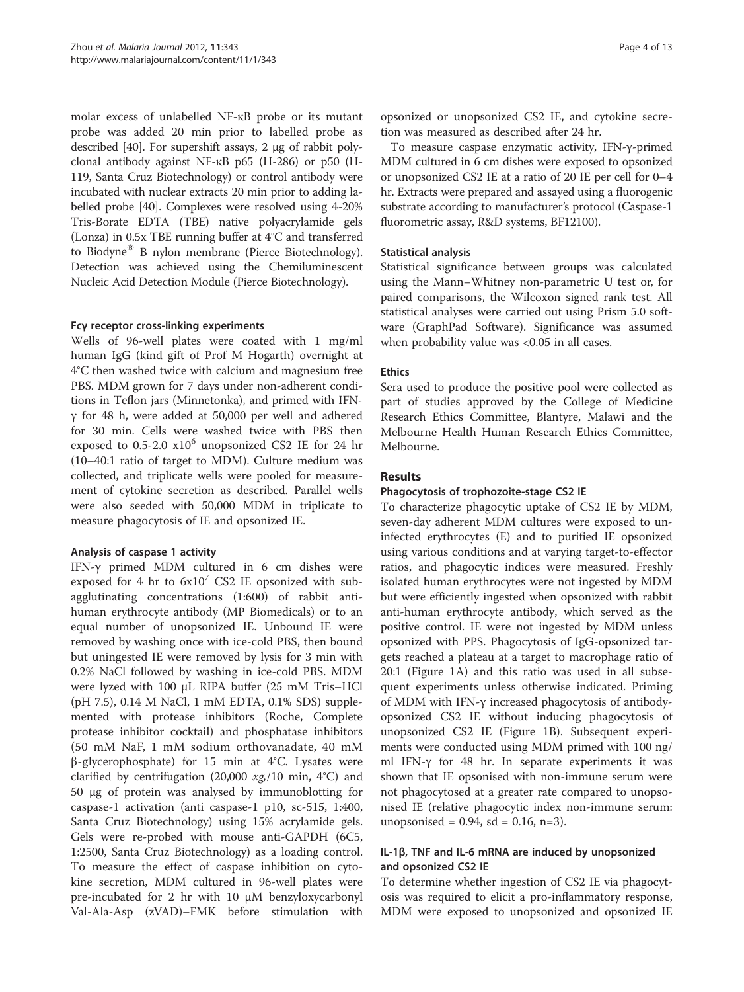molar excess of unlabelled NF-κB probe or its mutant probe was added 20 min prior to labelled probe as described [\[40\]](#page-11-0). For supershift assays, 2 μg of rabbit polyclonal antibody against NF-κB p65 (H-286) or p50 (H-119, Santa Cruz Biotechnology) or control antibody were incubated with nuclear extracts 20 min prior to adding labelled probe [\[40\]](#page-11-0). Complexes were resolved using 4-20% Tris-Borate EDTA (TBE) native polyacrylamide gels (Lonza) in 0.5x TBE running buffer at 4°C and transferred to Biodyne® B nylon membrane (Pierce Biotechnology). Detection was achieved using the Chemiluminescent Nucleic Acid Detection Module (Pierce Biotechnology).

#### Fcγ receptor cross-linking experiments

Wells of 96-well plates were coated with 1 mg/ml human IgG (kind gift of Prof M Hogarth) overnight at 4°C then washed twice with calcium and magnesium free PBS. MDM grown for 7 days under non-adherent conditions in Teflon jars (Minnetonka), and primed with IFNγ for 48 h, were added at 50,000 per well and adhered for 30 min. Cells were washed twice with PBS then exposed to  $0.5$ -2.0  $x10^6$  unopsonized CS2 IE for 24 hr (10–40:1 ratio of target to MDM). Culture medium was collected, and triplicate wells were pooled for measurement of cytokine secretion as described. Parallel wells were also seeded with 50,000 MDM in triplicate to measure phagocytosis of IE and opsonized IE.

## Analysis of caspase 1 activity

IFN-γ primed MDM cultured in 6 cm dishes were exposed for 4 hr to  $6x10^7$  CS2 IE opsonized with subagglutinating concentrations (1:600) of rabbit antihuman erythrocyte antibody (MP Biomedicals) or to an equal number of unopsonized IE. Unbound IE were removed by washing once with ice-cold PBS, then bound but uningested IE were removed by lysis for 3 min with 0.2% NaCl followed by washing in ice-cold PBS. MDM were lyzed with 100 μL RIPA buffer (25 mM Tris–HCl (pH 7.5), 0.14 M NaCl, 1 mM EDTA, 0.1% SDS) supplemented with protease inhibitors (Roche, Complete protease inhibitor cocktail) and phosphatase inhibitors (50 mM NaF, 1 mM sodium orthovanadate, 40 mM β-glycerophosphate) for 15 min at 4°C. Lysates were clarified by centrifugation (20,000  $xg/10$  min, 4°C) and 50 μg of protein was analysed by immunoblotting for caspase-1 activation (anti caspase-1 p10, sc-515, 1:400, Santa Cruz Biotechnology) using 15% acrylamide gels. Gels were re-probed with mouse anti-GAPDH (6C5, 1:2500, Santa Cruz Biotechnology) as a loading control. To measure the effect of caspase inhibition on cytokine secretion, MDM cultured in 96-well plates were pre-incubated for 2 hr with 10 μM benzyloxycarbonyl Val-Ala-Asp (zVAD)–FMK before stimulation with opsonized or unopsonized CS2 IE, and cytokine secretion was measured as described after 24 hr.

To measure caspase enzymatic activity, IFN-γ-primed MDM cultured in 6 cm dishes were exposed to opsonized or unopsonized CS2 IE at a ratio of 20 IE per cell for 0–4 hr. Extracts were prepared and assayed using a fluorogenic substrate according to manufacturer's protocol (Caspase-1 fluorometric assay, R&D systems, BF12100).

## Statistical analysis

Statistical significance between groups was calculated using the Mann–Whitney non-parametric U test or, for paired comparisons, the Wilcoxon signed rank test. All statistical analyses were carried out using Prism 5.0 software (GraphPad Software). Significance was assumed when probability value was <0.05 in all cases.

## **Ethics**

Sera used to produce the positive pool were collected as part of studies approved by the College of Medicine Research Ethics Committee, Blantyre, Malawi and the Melbourne Health Human Research Ethics Committee, Melbourne.

## Results

#### Phagocytosis of trophozoite-stage CS2 IE

To characterize phagocytic uptake of CS2 IE by MDM, seven-day adherent MDM cultures were exposed to uninfected erythrocytes (E) and to purified IE opsonized using various conditions and at varying target-to-effector ratios, and phagocytic indices were measured. Freshly isolated human erythrocytes were not ingested by MDM but were efficiently ingested when opsonized with rabbit anti-human erythrocyte antibody, which served as the positive control. IE were not ingested by MDM unless opsonized with PPS. Phagocytosis of IgG-opsonized targets reached a plateau at a target to macrophage ratio of 20:1 (Figure [1A\)](#page-4-0) and this ratio was used in all subsequent experiments unless otherwise indicated. Priming of MDM with IFN-γ increased phagocytosis of antibodyopsonized CS2 IE without inducing phagocytosis of unopsonized CS2 IE (Figure [1B\)](#page-4-0). Subsequent experiments were conducted using MDM primed with 100 ng/ ml IFN-γ for 48 hr. In separate experiments it was shown that IE opsonised with non-immune serum were not phagocytosed at a greater rate compared to unopsonised IE (relative phagocytic index non-immune serum: unopsonised =  $0.94$ , sd =  $0.16$ , n=3).

## IL-1β, TNF and IL-6 mRNA are induced by unopsonized and opsonized CS2 IE

To determine whether ingestion of CS2 IE via phagocytosis was required to elicit a pro-inflammatory response, MDM were exposed to unopsonized and opsonized IE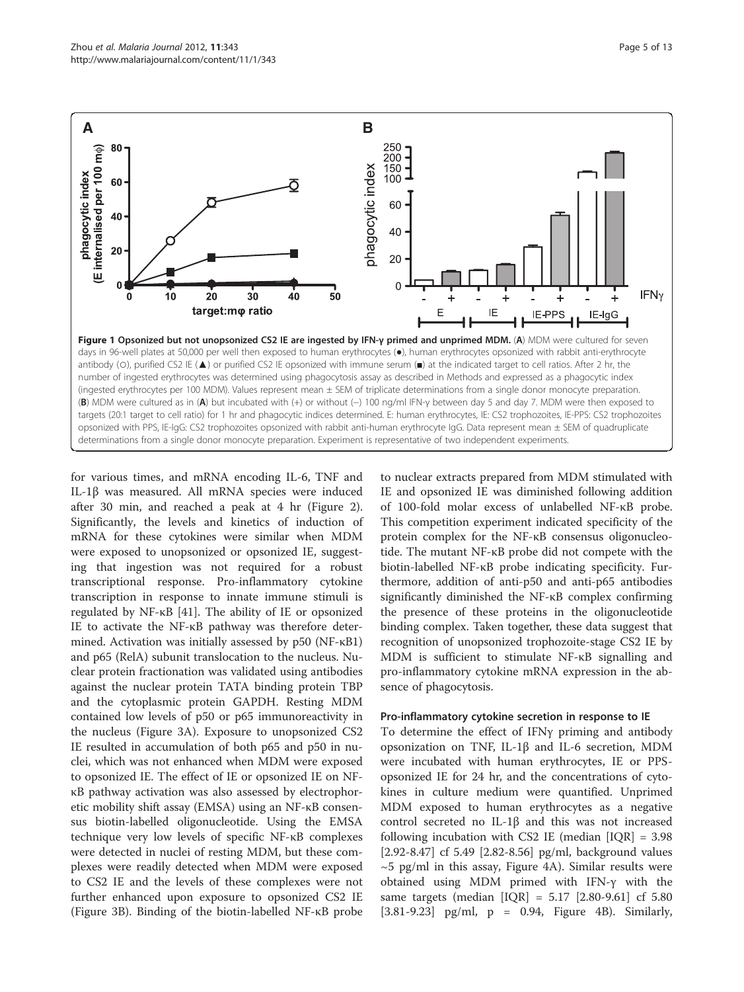<span id="page-4-0"></span>

for various times, and mRNA encoding IL-6, TNF and IL-1β was measured. All mRNA species were induced after 30 min, and reached a peak at 4 hr (Figure [2](#page-5-0)). Significantly, the levels and kinetics of induction of mRNA for these cytokines were similar when MDM were exposed to unopsonized or opsonized IE, suggesting that ingestion was not required for a robust transcriptional response. Pro-inflammatory cytokine transcription in response to innate immune stimuli is regulated by NF-κB [\[41](#page-11-0)]. The ability of IE or opsonized IE to activate the NF-κB pathway was therefore determined. Activation was initially assessed by p50 (NF-κB1) and p65 (RelA) subunit translocation to the nucleus. Nuclear protein fractionation was validated using antibodies against the nuclear protein TATA binding protein TBP and the cytoplasmic protein GAPDH. Resting MDM contained low levels of p50 or p65 immunoreactivity in the nucleus (Figure [3A](#page-6-0)). Exposure to unopsonized CS2 IE resulted in accumulation of both p65 and p50 in nuclei, which was not enhanced when MDM were exposed to opsonized IE. The effect of IE or opsonized IE on NFκB pathway activation was also assessed by electrophoretic mobility shift assay (EMSA) using an NF-κB consensus biotin-labelled oligonucleotide. Using the EMSA technique very low levels of specific NF-κB complexes were detected in nuclei of resting MDM, but these complexes were readily detected when MDM were exposed to CS2 IE and the levels of these complexes were not further enhanced upon exposure to opsonized CS2 IE (Figure [3B](#page-6-0)). Binding of the biotin-labelled NF-κB probe to nuclear extracts prepared from MDM stimulated with IE and opsonized IE was diminished following addition of 100-fold molar excess of unlabelled NF-κB probe. This competition experiment indicated specificity of the protein complex for the NF-κB consensus oligonucleotide. The mutant NF-κB probe did not compete with the biotin-labelled NF-κB probe indicating specificity. Furthermore, addition of anti-p50 and anti-p65 antibodies significantly diminished the NF-κB complex confirming the presence of these proteins in the oligonucleotide binding complex. Taken together, these data suggest that recognition of unopsonized trophozoite-stage CS2 IE by MDM is sufficient to stimulate NF-κB signalling and pro-inflammatory cytokine mRNA expression in the absence of phagocytosis.

#### Pro-inflammatory cytokine secretion in response to IE

To determine the effect of IFNγ priming and antibody opsonization on TNF, IL-1β and IL-6 secretion, MDM were incubated with human erythrocytes, IE or PPSopsonized IE for 24 hr, and the concentrations of cytokines in culture medium were quantified. Unprimed MDM exposed to human erythrocytes as a negative control secreted no IL-1β and this was not increased following incubation with CS2 IE (median [IQR] = 3.98 [2.92-8.47] cf 5.49 [2.82-8.56] pg/ml, background values  $~5$  pg/ml in this assay, Figure [4A\)](#page-7-0). Similar results were obtained using MDM primed with IFN-γ with the same targets (median [IQR] = 5.17 [2.80-9.61] cf 5.80 [3.81-9.23] pg/ml, p = 0.94, Figure [4B\)](#page-7-0). Similarly,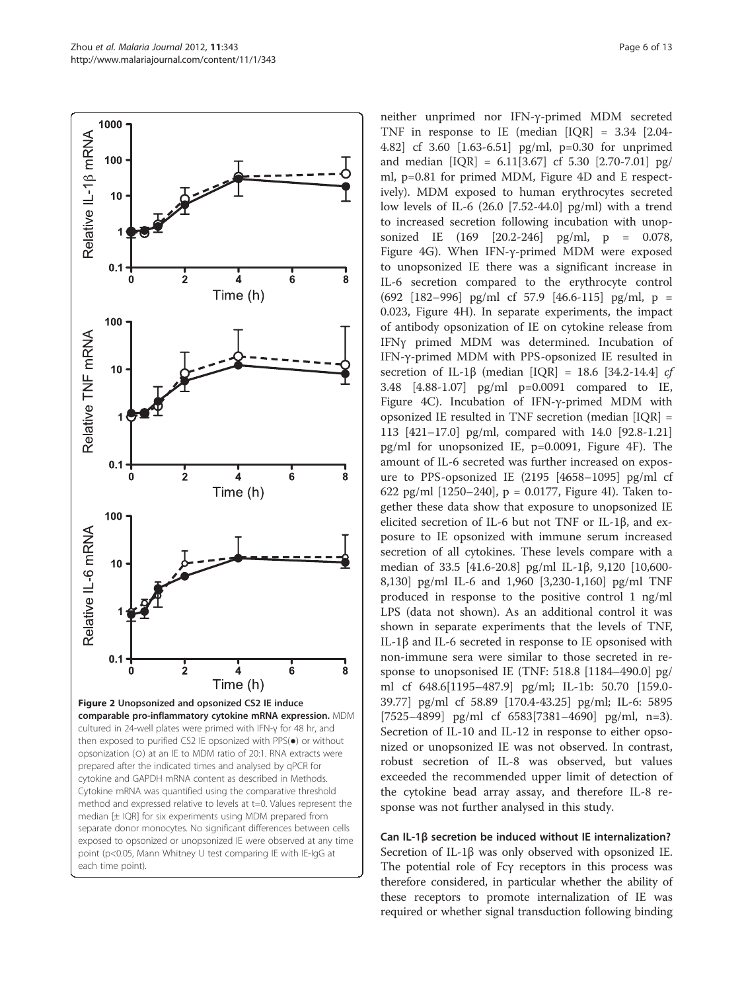<span id="page-5-0"></span>

neither unprimed nor IFN-γ-primed MDM secreted TNF in response to IE (median [IQR] = 3.34 [2.04- 4.82] cf 3.60 [1.63-6.51] pg/ml, p=0.30 for unprimed and median [IQR] = 6.11[3.67] cf 5.30 [2.70-7.01] pg/ ml, p=0.81 for primed MDM, Figure [4D and E](#page-7-0) respectively). MDM exposed to human erythrocytes secreted low levels of IL-6 (26.0 [7.52-44.0] pg/ml) with a trend to increased secretion following incubation with unopsonized IE (169 [20.2-246] pg/ml, p = 0.078, Figure [4G\)](#page-7-0). When IFN-γ-primed MDM were exposed to unopsonized IE there was a significant increase in IL-6 secretion compared to the erythrocyte control (692 [182–996] pg/ml cf 57.9 [46.6-115] pg/ml, p = 0.023, Figure [4H\)](#page-7-0). In separate experiments, the impact of antibody opsonization of IE on cytokine release from IFNγ primed MDM was determined. Incubation of IFN-γ-primed MDM with PPS-opsonized IE resulted in secretion of IL-1 $\beta$  (median [IQR] = 18.6 [34.2-14.4] cf 3.48 [4.88-1.07] pg/ml p=0.0091 compared to IE, Figure [4C](#page-7-0)). Incubation of IFN-γ-primed MDM with opsonized IE resulted in TNF secretion (median [IQR] = 113 [421–17.0] pg/ml, compared with 14.0 [92.8-1.21] pg/ml for unopsonized IE, p=0.0091, Figure [4F\)](#page-7-0). The amount of IL-6 secreted was further increased on exposure to PPS-opsonized IE (2195 [4658–1095] pg/ml cf 622 pg/ml  $[1250-240]$ , p = 0.0177, Figure [4I\)](#page-7-0). Taken together these data show that exposure to unopsonized IE elicited secretion of IL-6 but not TNF or IL-1β, and exposure to IE opsonized with immune serum increased secretion of all cytokines. These levels compare with a median of 33.5 [41.6-20.8] pg/ml IL-1β, 9,120 [10,600- 8,130] pg/ml IL-6 and 1,960 [3,230-1,160] pg/ml TNF produced in response to the positive control 1 ng/ml LPS (data not shown). As an additional control it was shown in separate experiments that the levels of TNF, IL-1β and IL-6 secreted in response to IE opsonised with non-immune sera were similar to those secreted in response to unopsonised IE (TNF: 518.8 [1184–490.0] pg/ ml cf 648.6[1195–487.9] pg/ml; IL-1b: 50.70 [159.0- 39.77] pg/ml cf 58.89 [170.4-43.25] pg/ml; IL-6: 5895 [7525–4899] pg/ml cf 6583[7381–4690] pg/ml, n=3). Secretion of IL-10 and IL-12 in response to either opsonized or unopsonized IE was not observed. In contrast, robust secretion of IL-8 was observed, but values exceeded the recommended upper limit of detection of the cytokine bead array assay, and therefore IL-8 response was not further analysed in this study.

Can IL-1β secretion be induced without IE internalization? Secretion of IL-1β was only observed with opsonized IE. The potential role of Fcγ receptors in this process was therefore considered, in particular whether the ability of these receptors to promote internalization of IE was required or whether signal transduction following binding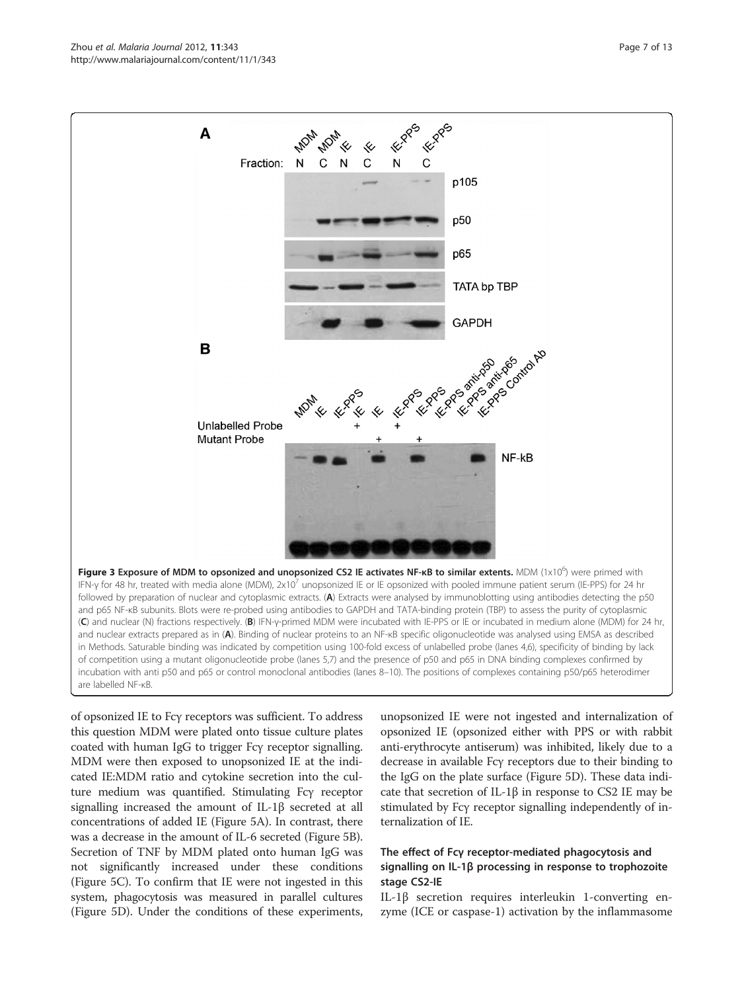<span id="page-6-0"></span>Zhou et al. Malaria Journal 2012, 11:343 Page 7 of 13 http://www.malariajournal.com/content/11/1/343



of opsonized IE to Fcγ receptors was sufficient. To address this question MDM were plated onto tissue culture plates coated with human IgG to trigger Fcγ receptor signalling. MDM were then exposed to unopsonized IE at the indicated IE:MDM ratio and cytokine secretion into the culture medium was quantified. Stimulating Fcγ receptor signalling increased the amount of IL-1β secreted at all concentrations of added IE (Figure [5A](#page-8-0)). In contrast, there was a decrease in the amount of IL-6 secreted (Figure [5B](#page-8-0)). Secretion of TNF by MDM plated onto human IgG was not significantly increased under these conditions (Figure [5C\)](#page-8-0). To confirm that IE were not ingested in this system, phagocytosis was measured in parallel cultures (Figure [5D\)](#page-8-0). Under the conditions of these experiments,

unopsonized IE were not ingested and internalization of opsonized IE (opsonized either with PPS or with rabbit anti-erythrocyte antiserum) was inhibited, likely due to a decrease in available Fcγ receptors due to their binding to the IgG on the plate surface (Figure [5D\)](#page-8-0). These data indicate that secretion of IL-1 $\beta$  in response to CS2 IE may be stimulated by Fcγ receptor signalling independently of internalization of IE.

## The effect of Fcγ receptor-mediated phagocytosis and signalling on IL-1β processing in response to trophozoite stage CS2-IE

IL-1β secretion requires interleukin 1-converting enzyme (ICE or caspase-1) activation by the inflammasome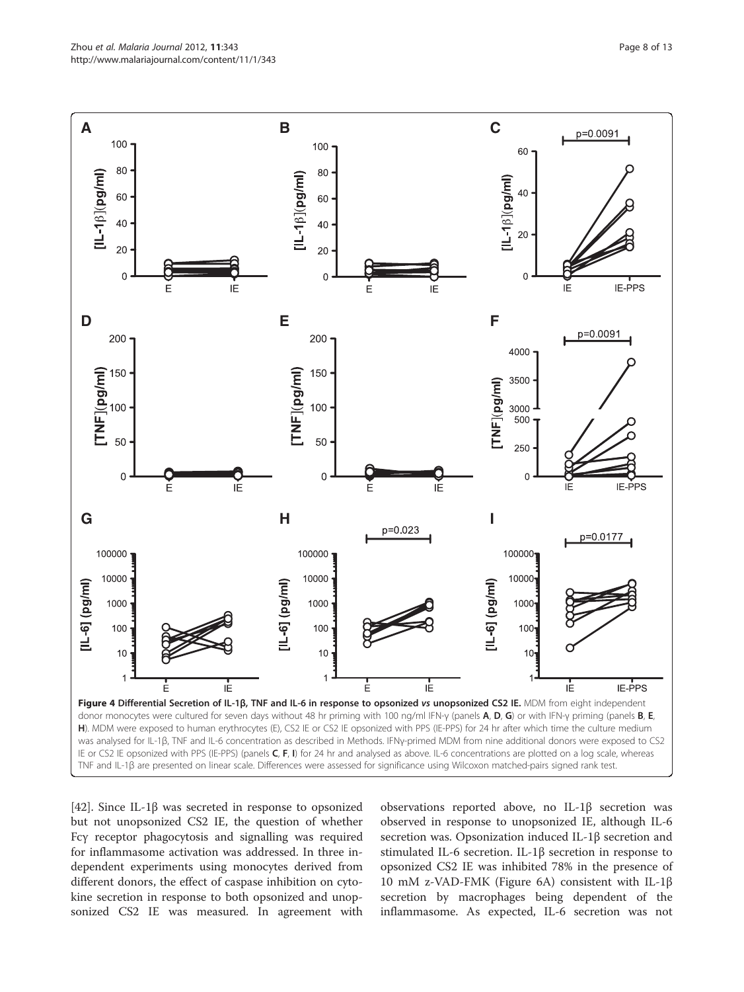<span id="page-7-0"></span>

[[42\]](#page-11-0). Since IL-1β was secreted in response to opsonized but not unopsonized CS2 IE, the question of whether Fcγ receptor phagocytosis and signalling was required for inflammasome activation was addressed. In three independent experiments using monocytes derived from different donors, the effect of caspase inhibition on cytokine secretion in response to both opsonized and unopsonized CS2 IE was measured. In agreement with

observations reported above, no IL-1β secretion was observed in response to unopsonized IE, although IL-6 secretion was. Opsonization induced IL-1β secretion and stimulated IL-6 secretion. IL-1β secretion in response to opsonized CS2 IE was inhibited 78% in the presence of 10 mM z-VAD-FMK (Figure [6A](#page-9-0)) consistent with IL-1β secretion by macrophages being dependent of the inflammasome. As expected, IL-6 secretion was not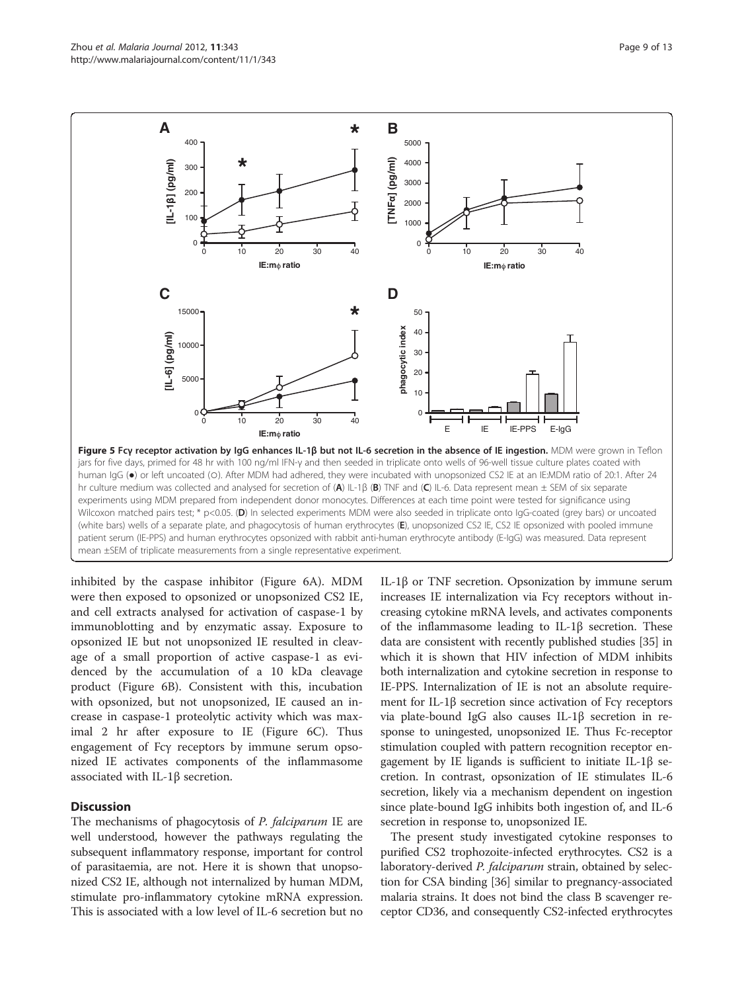<span id="page-8-0"></span>

inhibited by the caspase inhibitor (Figure [6A](#page-9-0)). MDM were then exposed to opsonized or unopsonized CS2 IE, and cell extracts analysed for activation of caspase-1 by immunoblotting and by enzymatic assay. Exposure to opsonized IE but not unopsonized IE resulted in cleavage of a small proportion of active caspase-1 as evidenced by the accumulation of a 10 kDa cleavage product (Figure [6B](#page-9-0)). Consistent with this, incubation with opsonized, but not unopsonized, IE caused an increase in caspase-1 proteolytic activity which was maximal 2 hr after exposure to IE (Figure [6C](#page-9-0)). Thus engagement of Fcγ receptors by immune serum opsonized IE activates components of the inflammasome associated with IL-1β secretion.

#### **Discussion**

The mechanisms of phagocytosis of *P. falciparum* IE are well understood, however the pathways regulating the subsequent inflammatory response, important for control of parasitaemia, are not. Here it is shown that unopsonized CS2 IE, although not internalized by human MDM, stimulate pro-inflammatory cytokine mRNA expression. This is associated with a low level of IL-6 secretion but no

IL-1β or TNF secretion. Opsonization by immune serum increases IE internalization via Fcγ receptors without increasing cytokine mRNA levels, and activates components of the inflammasome leading to IL-1β secretion. These data are consistent with recently published studies [[35](#page-11-0)] in which it is shown that HIV infection of MDM inhibits both internalization and cytokine secretion in response to IE-PPS. Internalization of IE is not an absolute requirement for IL-1β secretion since activation of Fcγ receptors via plate-bound IgG also causes IL-1β secretion in response to uningested, unopsonized IE. Thus Fc-receptor stimulation coupled with pattern recognition receptor engagement by IE ligands is sufficient to initiate IL-1β secretion. In contrast, opsonization of IE stimulates IL-6 secretion, likely via a mechanism dependent on ingestion since plate-bound IgG inhibits both ingestion of, and IL-6 secretion in response to, unopsonized IE.

The present study investigated cytokine responses to purified CS2 trophozoite-infected erythrocytes. CS2 is a laboratory-derived P. falciparum strain, obtained by selection for CSA binding [\[36\]](#page-11-0) similar to pregnancy-associated malaria strains. It does not bind the class B scavenger receptor CD36, and consequently CS2-infected erythrocytes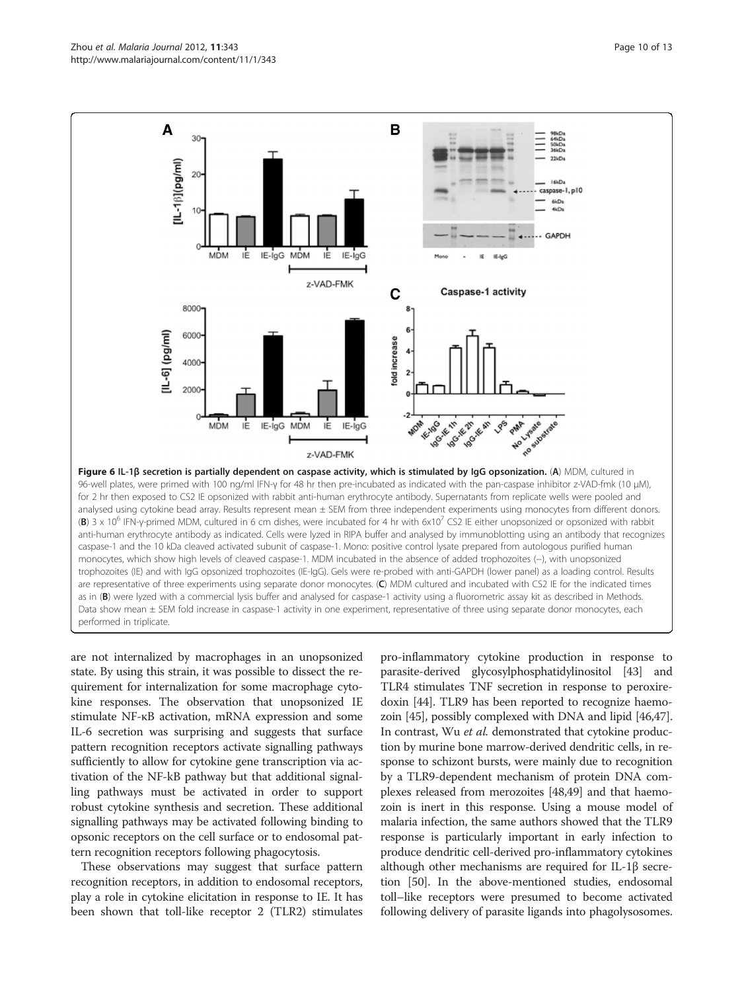<span id="page-9-0"></span>

are not internalized by macrophages in an unopsonized state. By using this strain, it was possible to dissect the requirement for internalization for some macrophage cytokine responses. The observation that unopsonized IE stimulate NF-κB activation, mRNA expression and some IL-6 secretion was surprising and suggests that surface pattern recognition receptors activate signalling pathways sufficiently to allow for cytokine gene transcription via activation of the NF-kB pathway but that additional signalling pathways must be activated in order to support robust cytokine synthesis and secretion. These additional signalling pathways may be activated following binding to opsonic receptors on the cell surface or to endosomal pattern recognition receptors following phagocytosis.

These observations may suggest that surface pattern recognition receptors, in addition to endosomal receptors, play a role in cytokine elicitation in response to IE. It has been shown that toll-like receptor 2 (TLR2) stimulates

pro-inflammatory cytokine production in response to parasite-derived glycosylphosphatidylinositol [[43](#page-11-0)] and TLR4 stimulates TNF secretion in response to peroxiredoxin [[44\]](#page-11-0). TLR9 has been reported to recognize haemozoin [[45](#page-12-0)], possibly complexed with DNA and lipid [\[46,47](#page-12-0)]. In contrast, Wu et al. demonstrated that cytokine production by murine bone marrow-derived dendritic cells, in response to schizont bursts, were mainly due to recognition by a TLR9-dependent mechanism of protein DNA complexes released from merozoites [\[48,49\]](#page-12-0) and that haemozoin is inert in this response. Using a mouse model of malaria infection, the same authors showed that the TLR9 response is particularly important in early infection to produce dendritic cell-derived pro-inflammatory cytokines although other mechanisms are required for IL-1β secretion [[50](#page-12-0)]. In the above-mentioned studies, endosomal toll–like receptors were presumed to become activated following delivery of parasite ligands into phagolysosomes.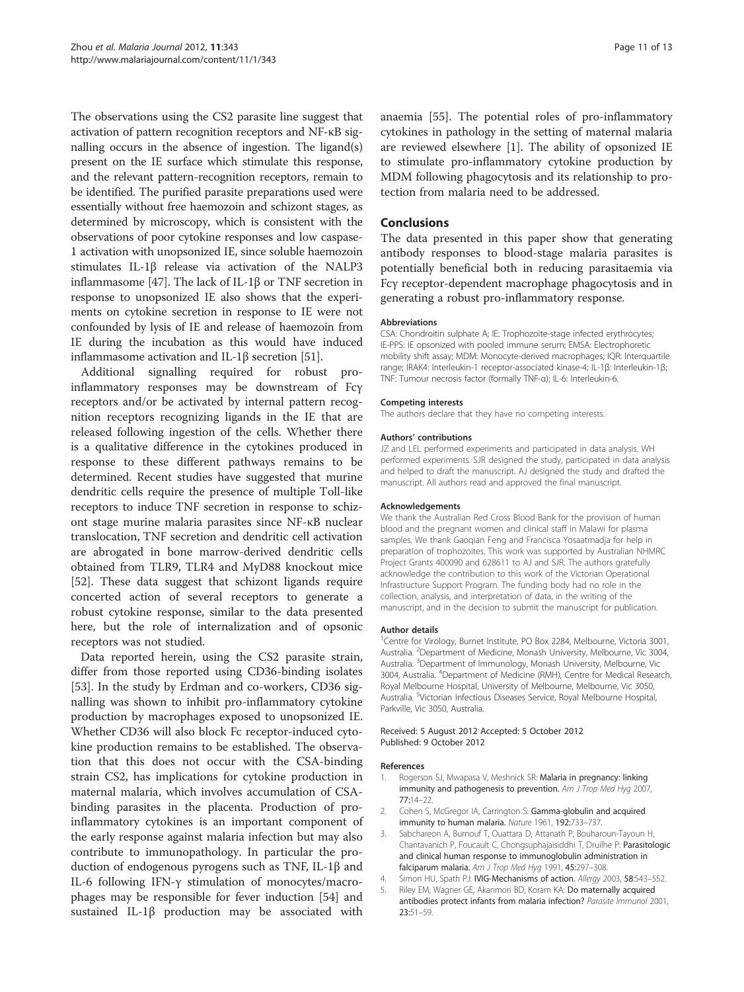<span id="page-10-0"></span>The observations using the CS2 parasite line suggest that activation of pattern recognition receptors and NF-κB signalling occurs in the absence of ingestion. The ligand(s) present on the IE surface which stimulate this response, and the relevant pattern-recognition receptors, remain to be identified. The purified parasite preparations used were essentially without free haemozoin and schizont stages, as determined by microscopy, which is consistent with the observations of poor cytokine responses and low caspase-1 activation with unopsonized IE, since soluble haemozoin stimulates IL-1β release via activation of the NALP3 inflammasome [\[47](#page-12-0)]. The lack of IL-1β or TNF secretion in response to unopsonized IE also shows that the experiments on cytokine secretion in response to IE were not confounded by lysis of IE and release of haemozoin from IE during the incubation as this would have induced inflammasome activation and IL-1β secretion [[51](#page-12-0)].

Additional signalling required for robust proinflammatory responses may be downstream of Fcγ receptors and/or be activated by internal pattern recognition receptors recognizing ligands in the IE that are released following ingestion of the cells. Whether there is a qualitative difference in the cytokines produced in response to these different pathways remains to be determined. Recent studies have suggested that murine dendritic cells require the presence of multiple Toll-like receptors to induce TNF secretion in response to schizont stage murine malaria parasites since NF-κB nuclear translocation, TNF secretion and dendritic cell activation are abrogated in bone marrow-derived dendritic cells obtained from TLR9, TLR4 and MyD88 knockout mice [[52\]](#page-12-0). These data suggest that schizont ligands require concerted action of several receptors to generate a robust cytokine response, similar to the data presented here, but the role of internalization and of opsonic receptors was not studied.

Data reported herein, using the CS2 parasite strain, differ from those reported using CD36-binding isolates [[53\]](#page-12-0). In the study by Erdman and co-workers, CD36 signalling was shown to inhibit pro-inflammatory cytokine production by macrophages exposed to unopsonized IE. Whether CD36 will also block Fc receptor-induced cytokine production remains to be established. The observation that this does not occur with the CSA-binding strain CS2, has implications for cytokine production in maternal malaria, which involves accumulation of CSAbinding parasites in the placenta. Production of proinflammatory cytokines is an important component of the early response against malaria infection but may also contribute to immunopathology. In particular the production of endogenous pyrogens such as TNF, IL-1β and IL-6 following IFN-γ stimulation of monocytes/macrophages may be responsible for fever induction [[54](#page-12-0)] and sustained IL-1β production may be associated with anaemia [[55](#page-12-0)]. The potential roles of pro-inflammatory cytokines in pathology in the setting of maternal malaria are reviewed elsewhere [1]. The ability of opsonized IE to stimulate pro-inflammatory cytokine production by MDM following phagocytosis and its relationship to protection from malaria need to be addressed.

## Conclusions

The data presented in this paper show that generating antibody responses to blood-stage malaria parasites is potentially beneficial both in reducing parasitaemia via Fcγ receptor-dependent macrophage phagocytosis and in generating a robust pro-inflammatory response.

#### Abbreviations

CSA: Chondroitin sulphate A; IE: Trophozoite-stage infected erythrocytes; IE-PPS: IE opsonized with pooled immune serum; EMSA: Electrophoretic mobility shift assay; MDM: Monocyte-derived macrophages; IQR: Interquartile range; IRAK4: Interleukin-1 receptor-associated kinase-4; IL-1β: Interleukin-1β; TNF: Tumour necrosis factor (formally TNF-α); IL-6: Interleukin-6.

#### Competing interests

The authors declare that they have no competing interests.

#### Authors' contributions

JZ and LEL performed experiments and participated in data analysis. WH performed experiments. SJR designed the study, participated in data analysis and helped to draft the manuscript. AJ designed the study and drafted the manuscript. All authors read and approved the final manuscript.

#### Acknowledgements

We thank the Australian Red Cross Blood Bank for the provision of human blood and the pregnant women and clinical staff in Malawi for plasma samples. We thank Gaoqian Feng and Francisca Yosaatmadja for help in preparation of trophozoites. This work was supported by Australian NHMRC Project Grants 400090 and 628611 to AJ and SJR. The authors gratefully acknowledge the contribution to this work of the Victorian Operational Infrastructure Support Program. The funding body had no role in the collection, analysis, and interpretation of data, in the writing of the manuscript, and in the decision to submit the manuscript for publication.

#### Author details

<sup>1</sup> Centre for Virology, Burnet Institute, PO Box 2284, Melbourne, Victoria 3001 Australia. <sup>2</sup>Department of Medicine, Monash University, Melbourne, Vic 3004 Australia. <sup>3</sup>Department of Immunology, Monash University, Melbourne, Vic 3004, Australia. <sup>4</sup> Department of Medicine (RMH), Centre for Medical Research, Royal Melbourne Hospital, University of Melbourne, Melbourne, Vic 3050, Australia. <sup>5</sup>Victorian Infectious Diseases Service, Royal Melbourne Hospital Parkville, Vic 3050, Australia.

#### Received: 5 August 2012 Accepted: 5 October 2012 Published: 9 October 2012

#### References

- Rogerson SJ, Mwapasa V, Meshnick SR: Malaria in pregnancy: linking immunity and pathogenesis to prevention. Am J Trop Med Hyg 2007, 77:14–22.
- 2. Cohen S, McGregor IA, Carrington S: Gamma-globulin and acquired immunity to human malaria. Nature 1961, 192:733–737.
- 3. Sabchareon A, Burnouf T, Ouattara D, Attanath P, Bouharoun-Tayoun H, Chantavanich P, Foucault C, Chongsuphajaisiddhi T, Druilhe P: Parasitologic and clinical human response to immunoglobulin administration in falciparum malaria. Am J Trop Med Hyg 1991, 45:297-308.
- 4. Simon HU, Spath PJ: IVIG-Mechanisms of action. Allergy 2003, 58:543-552.
- 5. Riley EM, Wagner GE, Akanmori BD, Koram KA: Do maternally acquired antibodies protect infants from malaria infection? Parasite Immunol 2001, 23:51–59.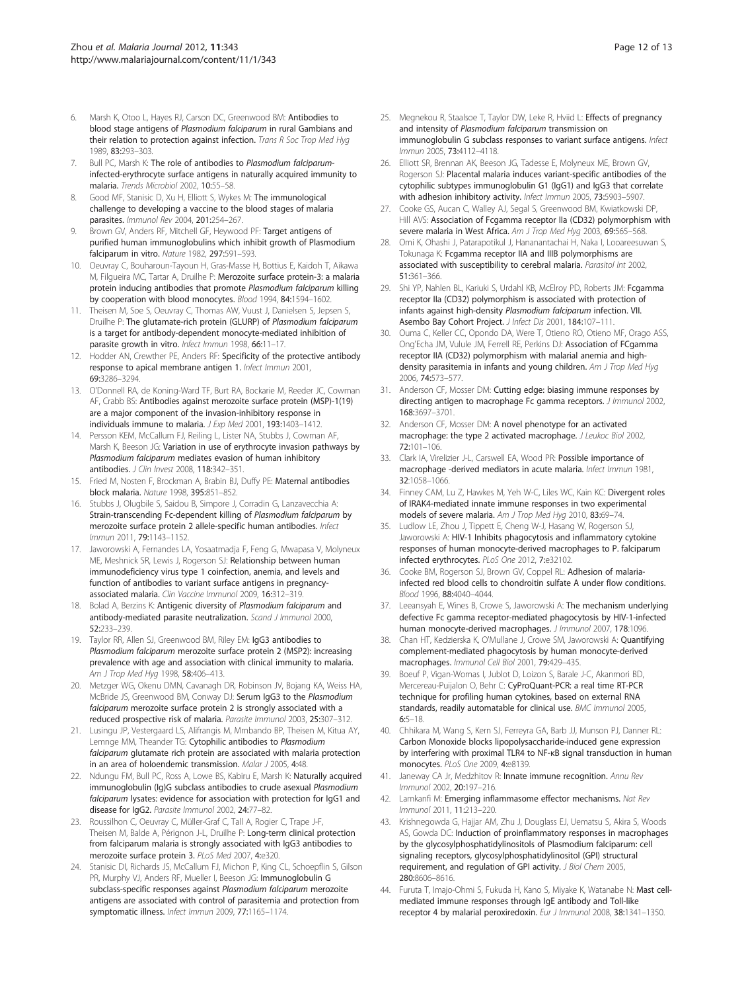- <span id="page-11-0"></span>Marsh K, Otoo L, Hayes RJ, Carson DC, Greenwood BM: Antibodies to blood stage antigens of Plasmodium falciparum in rural Gambians and their relation to protection against infection. Trans R Soc Trop Med Hyg 1989, 83:293–303.
- 7. Bull PC, Marsh K: The role of antibodies to Plasmodium falciparuminfected-erythrocyte surface antigens in naturally acquired immunity to malaria. Trends Microbiol 2002, 10:55–58.
- Good MF, Stanisic D, Xu H, Elliott S, Wykes M: The immunological challenge to developing a vaccine to the blood stages of malaria parasites. Immunol Rev 2004, 201:254–267.
- Brown GV, Anders RF, Mitchell GF, Heywood PF: Target antigens of purified human immunoglobulins which inhibit growth of Plasmodium falciparum in vitro. Nature 1982, 297:591–593.
- 10. Oeuvray C, Bouharoun-Tayoun H, Gras-Masse H, Bottius E, Kaidoh T, Aikawa M, Filgueira MC, Tartar A, Druilhe P: Merozoite surface protein-3: a malaria protein inducing antibodies that promote Plasmodium falciparum killing by cooperation with blood monocytes. Blood 1994, 84:1594-1602.
- 11. Theisen M, Soe S, Oeuvray C, Thomas AW, Vuust J, Danielsen S, Jepsen S, Druilhe P: The glutamate-rich protein (GLURP) of Plasmodium falciparum is a target for antibody-dependent monocyte-mediated inhibition of parasite growth in vitro. Infect Immun 1998, 66:11-17.
- 12. Hodder AN, Crewther PE, Anders RF: Specificity of the protective antibody response to apical membrane antigen 1. Infect Immun 2001, 69:3286–3294.
- 13. O'Donnell RA, de Koning-Ward TF, Burt RA, Bockarie M, Reeder JC, Cowman AF, Crabb BS: Antibodies against merozoite surface protein (MSP)-1(19) are a major component of the invasion-inhibitory response in individuals immune to malaria. J Exp Med 2001, 193:1403–1412.
- 14. Persson KEM, McCallum FJ, Reiling L, Lister NA, Stubbs J, Cowman AF, Marsh K, Beeson JG: Variation in use of erythrocyte invasion pathways by Plasmodium falciparum mediates evasion of human inhibitory antibodies. J Clin Invest 2008, 118:342–351.
- 15. Fried M, Nosten F, Brockman A, Brabin BJ, Duffy PE: Maternal antibodies block malaria. Nature 1998, 395:851–852.
- 16. Stubbs J, Olugbile S, Saidou B, Simpore J, Corradin G, Lanzavecchia A: Strain-transcending Fc-dependent killing of Plasmodium falciparum by merozoite surface protein 2 allele-specific human antibodies. Infect Immun 2011, 79:1143–1152.
- 17. Jaworowski A, Fernandes LA, Yosaatmadja F, Feng G, Mwapasa V, Molyneux ME, Meshnick SR, Lewis J, Rogerson SJ: Relationship between human immunodeficiency virus type 1 coinfection, anemia, and levels and function of antibodies to variant surface antigens in pregnancyassociated malaria. Clin Vaccine Immunol 2009, 16:312–319.
- 18. Bolad A, Berzins K: Antigenic diversity of Plasmodium falciparum and antibody-mediated parasite neutralization. Scand J Immunol 2000, 52:233–239.
- 19. Taylor RR, Allen SJ, Greenwood BM, Riley EM: IgG3 antibodies to Plasmodium falciparum merozoite surface protein 2 (MSP2): increasing prevalence with age and association with clinical immunity to malaria. Am J Trop Med Hyg 1998, 58:406-413.
- 20. Metzger WG, Okenu DMN, Cavanagh DR, Robinson JV, Bojang KA, Weiss HA, McBride JS, Greenwood BM, Conway DJ: Serum IgG3 to the Plasmodium falciparum merozoite surface protein 2 is strongly associated with a reduced prospective risk of malaria. Parasite Immunol 2003, 25:307–312.
- 21. Lusingu JP, Vestergaard LS, Alifrangis M, Mmbando BP, Theisen M, Kitua AY, Lemnge MM, Theander TG: Cytophilic antibodies to Plasmodium falciparum glutamate rich protein are associated with malaria protection in an area of holoendemic transmission. Malar J 2005, 4:48.
- 22. Ndungu FM, Bull PC, Ross A, Lowe BS, Kabiru E, Marsh K: Naturally acquired immunoglobulin (Ig)G subclass antibodies to crude asexual Plasmodium falciparum lysates: evidence for association with protection for IgG1 and disease for IgG2. Parasite Immunol 2002, 24:77–82.
- 23. Roussilhon C, Oeuvray C, Müller-Graf C, Tall A, Rogier C, Trape J-F, Theisen M, Balde A, Pérignon J-L, Druilhe P: Long-term clinical protection from falciparum malaria is strongly associated with IgG3 antibodies to merozoite surface protein 3. PLoS Med 2007, 4:e320.
- 24. Stanisic DI, Richards JS, McCallum FJ, Michon P, King CL, Schoepflin S, Gilson PR, Murphy VJ, Anders RF, Mueller I, Beeson JG: Immunoglobulin G subclass-specific responses against Plasmodium falciparum merozoite antigens are associated with control of parasitemia and protection from symptomatic illness. Infect Immun 2009, 77:1165–1174.
- 25. Megnekou R, Staalsoe T, Taylor DW, Leke R, Hviid L: Effects of pregnancy and intensity of Plasmodium falciparum transmission on immunoglobulin G subclass responses to variant surface antigens. Infect Immun 2005, 73:4112–4118.
- 26. Elliott SR, Brennan AK, Beeson JG, Tadesse E, Molyneux ME, Brown GV, Rogerson SJ: Placental malaria induces variant-specific antibodies of the cytophilic subtypes immunoglobulin G1 (IgG1) and IgG3 that correlate with adhesion inhibitory activity. Infect Immun 2005, 73:5903-5907.
- 27. Cooke GS, Aucan C, Walley AJ, Segal S, Greenwood BM, Kwiatkowski DP, Hill AVS: Association of Fcgamma receptor IIa (CD32) polymorphism with severe malaria in West Africa. Am J Trop Med Hyg 2003, 69:565-568.
- 28. Omi K, Ohashi J, Patarapotikul J, Hananantachai H, Naka I, Looareesuwan S, Tokunaga K: Fcgamma receptor IIA and IIIB polymorphisms are associated with susceptibility to cerebral malaria. Parasitol Int 2002, 51:361–366.
- 29. Shi YP, Nahlen BL, Kariuki S, Urdahl KB, McElroy PD, Roberts JM: Fcgamma receptor IIa (CD32) polymorphism is associated with protection of infants against high-density Plasmodium falciparum infection. VII. Asembo Bay Cohort Project. J Infect Dis 2001, 184:107–111.
- 30. Ouma C, Keller CC, Opondo DA, Were T, Otieno RO, Otieno MF, Orago ASS, Ong'Echa JM, Vulule JM, Ferrell RE, Perkins DJ: Association of FCgamma receptor IIA (CD32) polymorphism with malarial anemia and highdensity parasitemia in infants and young children. Am J Trop Med Hyg 2006, 74:573–577.
- 31. Anderson CF, Mosser DM: Cutting edge: biasing immune responses by directing antigen to macrophage Fc gamma receptors. *J Immunol* 2002, 168:3697–3701.
- 32. Anderson CF, Mosser DM: A novel phenotype for an activated macrophage: the type 2 activated macrophage. *J Leukoc Biol* 2002, 72:101–106.
- 33. Clark IA, Virelizier J-L, Carswell EA, Wood PR: Possible importance of macrophage -derived mediators in acute malaria. Infect Immun 1981, 32:1058–1066.
- 34. Finney CAM, Lu Z, Hawkes M, Yeh W-C, Liles WC, Kain KC: Divergent roles of IRAK4-mediated innate immune responses in two experimental models of severe malaria. Am J Trop Med Hyg 2010, 83:69-74.
- 35. Ludlow LE, Zhou J, Tippett E, Cheng W-J, Hasang W, Rogerson SJ, Jaworowski A: HIV-1 Inhibits phagocytosis and inflammatory cytokine responses of human monocyte-derived macrophages to P. falciparum infected erythrocytes. PLoS One 2012, 7:e32102.
- 36. Cooke BM, Rogerson SJ, Brown GV, Coppel RL: Adhesion of malariainfected red blood cells to chondroitin sulfate A under flow conditions. Blood 1996, 88:4040–4044.
- 37. Leeansyah E, Wines B, Crowe S, Jaworowski A: The mechanism underlying defective Fc gamma receptor-mediated phagocytosis by HIV-1-infected human monocyte-derived macrophages. J Immunol 2007, 178:1096.
- 38. Chan HT, Kedzierska K, O'Mullane J, Crowe SM, Jaworowski A: Quantifying complement-mediated phagocytosis by human monocyte-derived macrophages. Immunol Cell Biol 2001, 79:429–435.
- 39. Boeuf P, Vigan-Womas I, Jublot D, Loizon S, Barale J-C, Akanmori BD, Mercereau-Puijalon O, Behr C: CyProQuant-PCR: a real time RT-PCR technique for profiling human cytokines, based on external RNA standards, readily automatable for clinical use. BMC Immunol 2005, 6:5–18.
- 40. Chhikara M, Wang S, Kern SJ, Ferreyra GA, Barb JJ, Munson PJ, Danner RL: Carbon Monoxide blocks lipopolysaccharide-induced gene expression by interfering with proximal TLR4 to NF-κB signal transduction in human monocytes. PLoS One 2009, 4:e8139.
- 41. Janeway CA Jr, Medzhitov R: Innate immune recognition. Annu Rev Immunol 2002, 20:197–216.
- 42. Lamkanfi M: Emerging inflammasome effector mechanisms. Nat Rev Immunol 2011, 11:213–220.
- 43. Krishnegowda G, Hajjar AM, Zhu J, Douglass EJ, Uematsu S, Akira S, Woods AS, Gowda DC: Induction of proinflammatory responses in macrophages by the glycosylphosphatidylinositols of Plasmodium falciparum: cell signaling receptors, glycosylphosphatidylinositol (GPI) structural requirement, and regulation of GPI activity. J Biol Chem 2005, 280:8606–8616.
- 44. Furuta T, Imajo-Ohmi S, Fukuda H, Kano S, Miyake K, Watanabe N: Mast cellmediated immune responses through IgE antibody and Toll-like receptor 4 by malarial peroxiredoxin. Eur J Immunol 2008, 38:1341–1350.